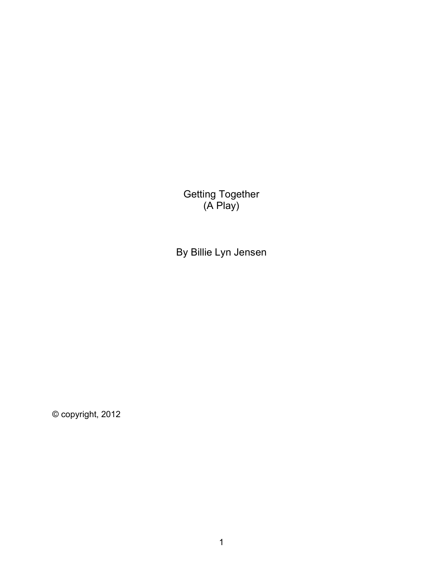Getting Together (A Play)

By Billie Lyn Jensen

© copyright, 2012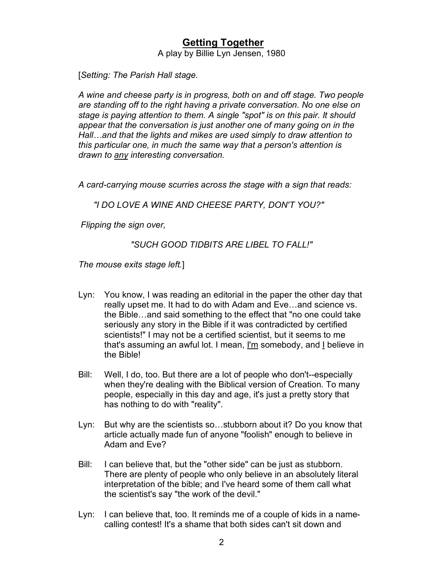## **Getting Together**

A play by Billie Lyn Jensen, 1980

[*Setting: The Parish Hall stage.*

*A wine and cheese party is in progress, both on and off stage. Two people are standing off to the right having a private conversation. No one else on stage is paying attention to them. A single "spot" is on this pair. It should appear that the conversation is just another one of many going on in the Hall…and that the lights and mikes are used simply to draw attention to this particular one, in much the same way that a person's attention is drawn to any interesting conversation.*

*A card-carrying mouse scurries across the stage with a sign that reads:* 

*"I DO LOVE A WINE AND CHEESE PARTY, DON'T YOU?"*

*Flipping the sign over,* 

*"SUCH GOOD TIDBITS ARE LIBEL TO FALL!"*

*The mouse exits stage left.*]

- Lyn: You know, I was reading an editorial in the paper the other day that really upset me. It had to do with Adam and Eve…and science vs. the Bible…and said something to the effect that "no one could take seriously any story in the Bible if it was contradicted by certified scientists!" I may not be a certified scientist, but it seems to me that's assuming an awful lot. I mean, I'm somebody, and I believe in the Bible!
- Bill: Well, I do, too. But there are a lot of people who don't--especially when they're dealing with the Biblical version of Creation. To many people, especially in this day and age, it's just a pretty story that has nothing to do with "reality".
- Lyn: But why are the scientists so…stubborn about it? Do you know that article actually made fun of anyone "foolish" enough to believe in Adam and Eve?
- Bill: I can believe that, but the "other side" can be just as stubborn. There are plenty of people who only believe in an absolutely literal interpretation of the bible; and I've heard some of them call what the scientist's say "the work of the devil."
- Lyn: I can believe that, too. It reminds me of a couple of kids in a namecalling contest! It's a shame that both sides can't sit down and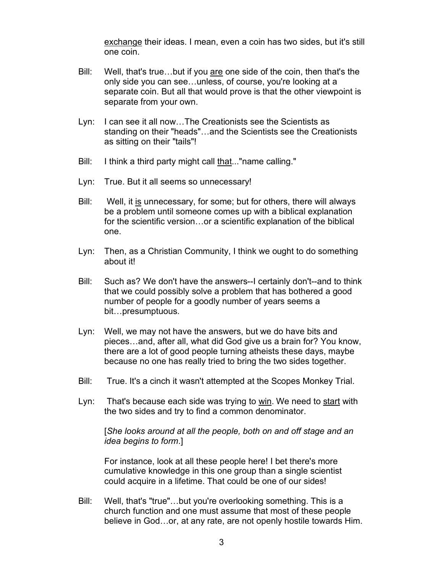exchange their ideas. I mean, even a coin has two sides, but it's still one coin.

- Bill: Well, that's true...but if you are one side of the coin, then that's the only side you can see…unless, of course, you're looking at a separate coin. But all that would prove is that the other viewpoint is separate from your own.
- Lyn: I can see it all now…The Creationists see the Scientists as standing on their "heads"…and the Scientists see the Creationists as sitting on their "tails"!
- Bill: I think a third party might call that..."name calling."
- Lyn: True. But it all seems so unnecessary!
- Bill: Well, it is unnecessary, for some; but for others, there will always be a problem until someone comes up with a biblical explanation for the scientific version…or a scientific explanation of the biblical one.
- Lyn: Then, as a Christian Community, I think we ought to do something about it!
- Bill: Such as? We don't have the answers--I certainly don't--and to think that we could possibly solve a problem that has bothered a good number of people for a goodly number of years seems a bit…presumptuous.
- Lyn: Well, we may not have the answers, but we do have bits and pieces…and, after all, what did God give us a brain for? You know, there are a lot of good people turning atheists these days, maybe because no one has really tried to bring the two sides together.
- Bill: True. It's a cinch it wasn't attempted at the Scopes Monkey Trial.
- Lyn: That's because each side was trying to win. We need to start with the two sides and try to find a common denominator.

[*She looks around at all the people, both on and off stage and an idea begins to form*.]

For instance, look at all these people here! I bet there's more cumulative knowledge in this one group than a single scientist could acquire in a lifetime. That could be one of our sides!

Bill: Well, that's "true"…but you're overlooking something. This is a church function and one must assume that most of these people believe in God…or, at any rate, are not openly hostile towards Him.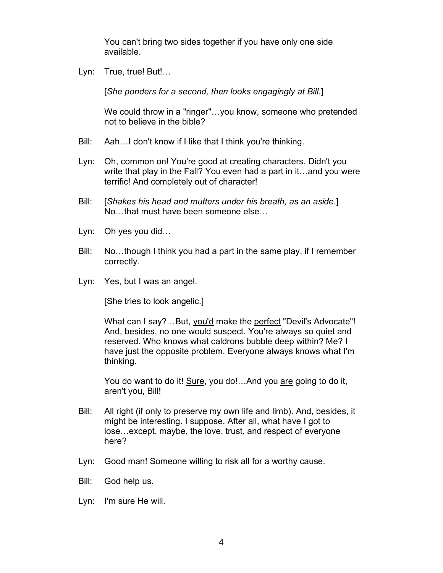You can't bring two sides together if you have only one side available.

Lyn: True, true! But!...

[*She ponders for a second, then looks engagingly at Bill*.]

We could throw in a "ringer"…you know, someone who pretended not to believe in the bible?

- Bill: Aah…I don't know if I like that I think you're thinking.
- Lyn: Oh, common on! You're good at creating characters. Didn't you write that play in the Fall? You even had a part in it…and you were terrific! And completely out of character!
- Bill: [*Shakes his head and mutters under his breath, as an aside*.] No…that must have been someone else…
- Lyn: Oh yes you did…
- Bill: No…though I think you had a part in the same play, if I remember correctly.
- Lyn: Yes, but I was an angel.

[She tries to look angelic.]

What can I say?...But, you'd make the perfect "Devil's Advocate"! And, besides, no one would suspect. You're always so quiet and reserved. Who knows what caldrons bubble deep within? Me? I have just the opposite problem. Everyone always knows what I'm thinking.

You do want to do it! Sure, you do!... And you are going to do it, aren't you, Bill!

- Bill: All right (if only to preserve my own life and limb). And, besides, it might be interesting. I suppose. After all, what have I got to lose…except, maybe, the love, trust, and respect of everyone here?
- Lyn: Good man! Someone willing to risk all for a worthy cause.
- Bill: God help us.
- Lyn: I'm sure He will.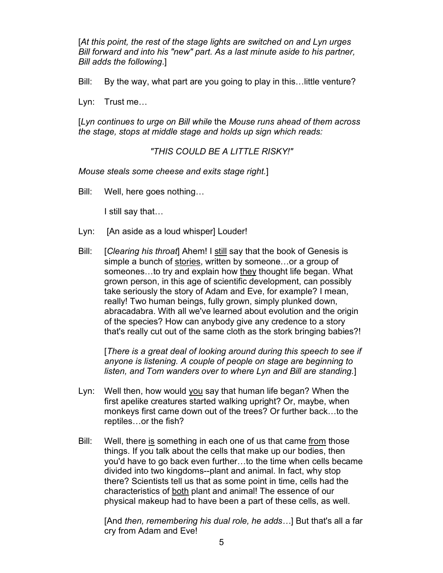[*At this point, the rest of the stage lights are switched on and Lyn urges Bill forward and into his "new" part. As a last minute aside to his partner, Bill adds the following*.]

Bill: By the way, what part are you going to play in this…little venture?

Lyn: Trust me…

[*Lyn continues to urge on Bill while* the *Mouse runs ahead of them across the stage, stops at middle stage and holds up sign which reads:*

*"THIS COULD BE A LITTLE RISKY!"*

*Mouse steals some cheese and exits stage right.*]

Bill: Well, here goes nothing…

I still say that…

- Lyn: [An aside as a loud whisper] Louder!
- Bill: [*Clearing his throat*] Ahem! I still say that the book of Genesis is simple a bunch of stories, written by someone…or a group of someones…to try and explain how they thought life began. What grown person, in this age of scientific development, can possibly take seriously the story of Adam and Eve, for example? I mean, really! Two human beings, fully grown, simply plunked down, abracadabra. With all we've learned about evolution and the origin of the species? How can anybody give any credence to a story that's really cut out of the same cloth as the stork bringing babies?!

[*There is a great deal of looking around during this speech to see if anyone is listening. A couple of people on stage are beginning to listen, and Tom wanders over to where Lyn and Bill are standing.*]

- Lyn: Well then, how would you say that human life began? When the first apelike creatures started walking upright? Or, maybe, when monkeys first came down out of the trees? Or further back…to the reptiles…or the fish?
- Bill: Well, there is something in each one of us that came from those things. If you talk about the cells that make up our bodies, then you'd have to go back even further…to the time when cells became divided into two kingdoms--plant and animal. In fact, why stop there? Scientists tell us that as some point in time, cells had the characteristics of both plant and animal! The essence of our physical makeup had to have been a part of these cells, as well.

[And *then, remembering his dual role, he adds…*] But that's all a far cry from Adam and Eve!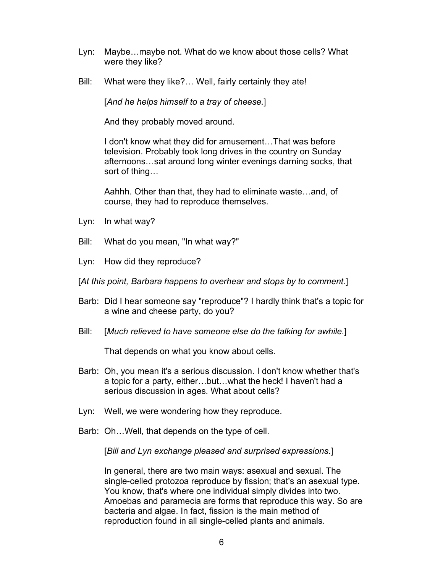- Lyn: Maybe…maybe not. What do we know about those cells? What were they like?
- Bill: What were they like?… Well, fairly certainly they ate!

[*And he helps himself to a tray of cheese.*]

And they probably moved around.

I don't know what they did for amusement…That was before television. Probably took long drives in the country on Sunday afternoons…sat around long winter evenings darning socks, that sort of thing…

Aahhh. Other than that, they had to eliminate waste…and, of course, they had to reproduce themselves.

- Lyn: In what way?
- Bill: What do you mean, "In what way?"
- Lyn: How did they reproduce?
- [*At this point, Barbara happens to overhear and stops by to comment*.]
- Barb: Did I hear someone say "reproduce"? I hardly think that's a topic for a wine and cheese party, do you?
- Bill: [*Much relieved to have someone else do the talking for awhile.*]

That depends on what you know about cells.

- Barb: Oh, you mean it's a serious discussion. I don't know whether that's a topic for a party, either…but…what the heck! I haven't had a serious discussion in ages. What about cells?
- Lyn: Well, we were wondering how they reproduce.
- Barb: Oh…Well, that depends on the type of cell.

[*Bill and Lyn exchange pleased and surprised expressions*.]

In general, there are two main ways: asexual and sexual. The single-celled protozoa reproduce by fission; that's an asexual type. You know, that's where one individual simply divides into two. Amoebas and paramecia are forms that reproduce this way. So are bacteria and algae. In fact, fission is the main method of reproduction found in all single-celled plants and animals.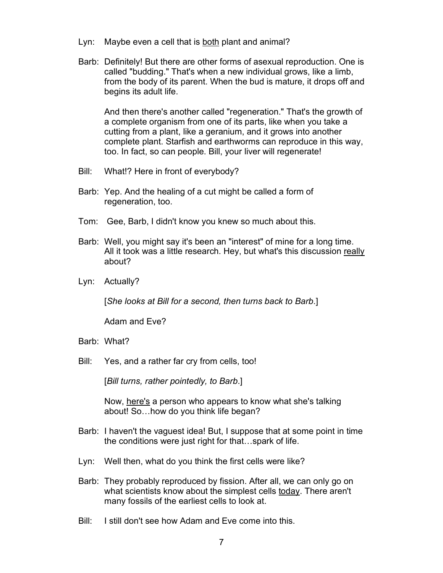- Lyn: Maybe even a cell that is both plant and animal?
- Barb: Definitely! But there are other forms of asexual reproduction. One is called "budding." That's when a new individual grows, like a limb, from the body of its parent. When the bud is mature, it drops off and begins its adult life.

And then there's another called "regeneration." That's the growth of a complete organism from one of its parts, like when you take a cutting from a plant, like a geranium, and it grows into another complete plant. Starfish and earthworms can reproduce in this way, too. In fact, so can people. Bill, your liver will regenerate!

- Bill: What!? Here in front of everybody?
- Barb: Yep. And the healing of a cut might be called a form of regeneration, too.
- Tom: Gee, Barb, I didn't know you knew so much about this.
- Barb: Well, you might say it's been an "interest" of mine for a long time. All it took was a little research. Hey, but what's this discussion really about?
- Lyn: Actually?

[*She looks at Bill for a second, then turns back to Barb*.]

Adam and Eve?

- Barb: What?
- Bill: Yes, and a rather far cry from cells, too!

[*Bill turns, rather pointedly, to Barb*.]

Now, here's a person who appears to know what she's talking about! So…how do you think life began?

- Barb: I haven't the vaguest idea! But, I suppose that at some point in time the conditions were just right for that…spark of life.
- Lyn: Well then, what do you think the first cells were like?
- Barb: They probably reproduced by fission. After all, we can only go on what scientists know about the simplest cells today. There aren't many fossils of the earliest cells to look at.
- Bill: I still don't see how Adam and Eve come into this.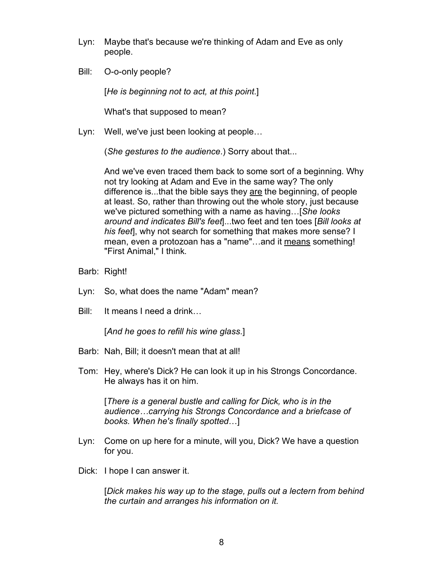- Lyn: Maybe that's because we're thinking of Adam and Eve as only people.
- Bill: O-o-only people?

[*He is beginning not to act, at this point*.]

What's that supposed to mean?

Lyn: Well, we've just been looking at people…

(*She gestures to the audience*.) Sorry about that...

And we've even traced them back to some sort of a beginning. Why not try looking at Adam and Eve in the same way? The only difference is...that the bible says they are the beginning, of people at least. So, rather than throwing out the whole story, just because we've pictured something with a name as having…[*She looks around and indicates Bill's feet*]...two feet and ten toes [*Bill looks at his feet*], why not search for something that makes more sense? I mean, even a protozoan has a "name"…and it means something! "First Animal," I think.

- Barb: Right!
- Lyn: So, what does the name "Adam" mean?
- Bill: It means I need a drink…

[*And he goes to refill his wine glass*.]

- Barb: Nah, Bill; it doesn't mean that at all!
- Tom: Hey, where's Dick? He can look it up in his Strongs Concordance. He always has it on him.

[*There is a general bustle and calling for Dick, who is in the audience…carrying his Strongs Concordance and a briefcase of books. When he's finally spotted*…]

- Lyn: Come on up here for a minute, will you, Dick? We have a question for you.
- Dick: I hope I can answer it.

[*Dick makes his way up to the stage, pulls out a lectern from behind the curtain and arranges his information on it.*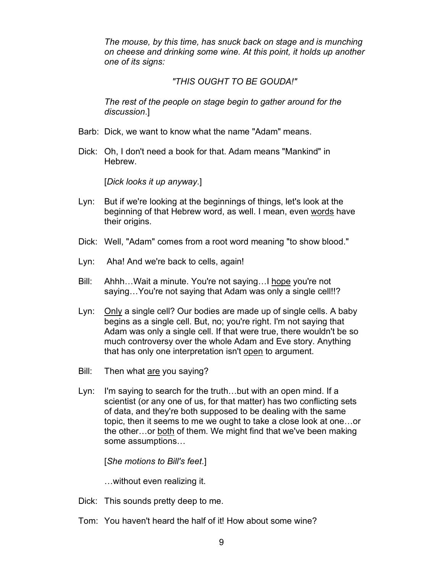*The mouse, by this time, has snuck back on stage and is munching on cheese and drinking some wine. At this point, it holds up another one of its signs:*

## *"THIS OUGHT TO BE GOUDA!"*

*The rest of the people on stage begin to gather around for the discussion*.]

- Barb: Dick, we want to know what the name "Adam" means.
- Dick: Oh, I don't need a book for that. Adam means "Mankind" in Hebrew.

[*Dick looks it up anyway*.]

- Lyn: But if we're looking at the beginnings of things, let's look at the beginning of that Hebrew word, as well. I mean, even words have their origins.
- Dick: Well, "Adam" comes from a root word meaning "to show blood."
- Lyn: Aha! And we're back to cells, again!
- Bill: Ahhh…Wait a minute. You're not saying…I hope you're not saying…You're not saying that Adam was only a single cell!!?
- Lyn: Only a single cell? Our bodies are made up of single cells. A baby begins as a single cell. But, no; you're right. I'm not saying that Adam was only a single cell. If that were true, there wouldn't be so much controversy over the whole Adam and Eve story. Anything that has only one interpretation isn't open to argument.
- Bill: Then what are you saying?
- Lyn: I'm saying to search for the truth…but with an open mind. If a scientist (or any one of us, for that matter) has two conflicting sets of data, and they're both supposed to be dealing with the same topic, then it seems to me we ought to take a close look at one…or the other…or both of them. We might find that we've been making some assumptions…

[*She motions to Bill's feet*.]

…without even realizing it.

- Dick: This sounds pretty deep to me.
- Tom: You haven't heard the half of it! How about some wine?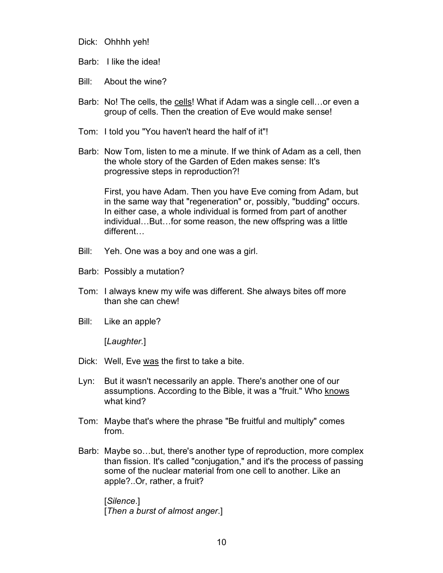Dick: Ohhhh yeh!

Barb: I like the idea!

Bill: About the wine?

- Barb: No! The cells, the cells! What if Adam was a single cell... or even a group of cells. Then the creation of Eve would make sense!
- Tom: I told you "You haven't heard the half of it"!
- Barb: Now Tom, listen to me a minute. If we think of Adam as a cell, then the whole story of the Garden of Eden makes sense: It's progressive steps in reproduction?!

First, you have Adam. Then you have Eve coming from Adam, but in the same way that "regeneration" or, possibly, "budding" occurs. In either case, a whole individual is formed from part of another individual…But…for some reason, the new offspring was a little different…

- Bill: Yeh. One was a boy and one was a girl.
- Barb: Possibly a mutation?
- Tom: I always knew my wife was different. She always bites off more than she can chew!
- Bill: Like an apple?

[*Laughter.*]

- Dick: Well, Eve was the first to take a bite.
- Lyn: But it wasn't necessarily an apple. There's another one of our assumptions. According to the Bible, it was a "fruit." Who knows what kind?
- Tom: Maybe that's where the phrase "Be fruitful and multiply" comes from.
- Barb: Maybe so…but, there's another type of reproduction, more complex than fission. It's called "conjugation," and it's the process of passing some of the nuclear material from one cell to another. Like an apple?..Or, rather, a fruit?

[*Silence*.] [*Then a burst of almost anger*.]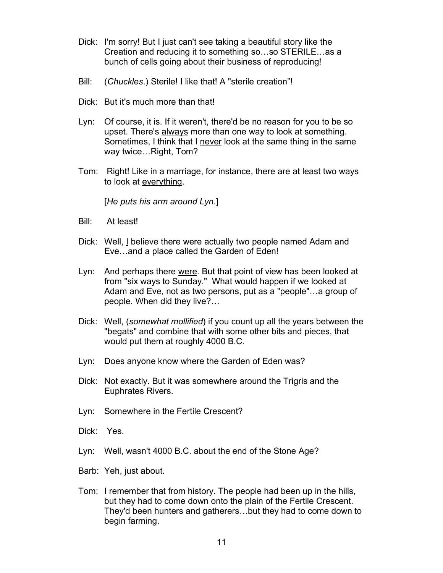- Dick: I'm sorry! But I just can't see taking a beautiful story like the Creation and reducing it to something so…so STERILE…as a bunch of cells going about their business of reproducing!
- Bill: (*Chuckles*.) Sterile! I like that! A "sterile creation"!
- Dick: But it's much more than that!
- Lyn: Of course, it is. If it weren't, there'd be no reason for you to be so upset. There's always more than one way to look at something. Sometimes, I think that I never look at the same thing in the same way twice…Right, Tom?
- Tom: Right! Like in a marriage, for instance, there are at least two ways to look at everything.

[*He puts his arm around Lyn*.]

- Bill: At least!
- Dick: Well, I believe there were actually two people named Adam and Eve…and a place called the Garden of Eden!
- Lyn: And perhaps there were. But that point of view has been looked at from "six ways to Sunday." What would happen if we looked at Adam and Eve, not as two persons, put as a "people"…a group of people. When did they live?…
- Dick: Well, (*somewhat mollified*) if you count up all the years between the "begats" and combine that with some other bits and pieces, that would put them at roughly 4000 B.C.
- Lyn: Does anyone know where the Garden of Eden was?
- Dick: Not exactly. But it was somewhere around the Trigris and the Euphrates Rivers.
- Lyn: Somewhere in the Fertile Crescent?
- Dick: Yes.
- Lyn: Well, wasn't 4000 B.C. about the end of the Stone Age?
- Barb: Yeh, just about.
- Tom: I remember that from history. The people had been up in the hills, but they had to come down onto the plain of the Fertile Crescent. They'd been hunters and gatherers…but they had to come down to begin farming.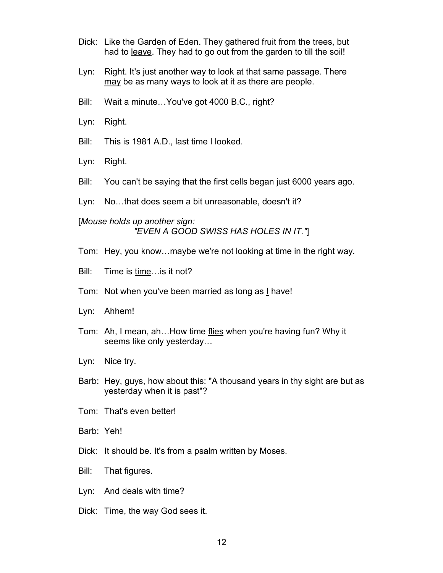- Dick: Like the Garden of Eden. They gathered fruit from the trees, but had to leave. They had to go out from the garden to till the soil!
- Lyn: Right. It's just another way to look at that same passage. There may be as many ways to look at it as there are people.
- Bill: Wait a minute…You've got 4000 B.C., right?
- Lyn: Right.
- Bill: This is 1981 A.D., last time I looked.
- Lyn: Right.
- Bill: You can't be saying that the first cells began just 6000 years ago.
- Lyn: No…that does seem a bit unreasonable, doesn't it?

## [*Mouse holds up another sign: "EVEN A GOOD SWISS HAS HOLES IN IT."*]

- Tom: Hey, you know…maybe we're not looking at time in the right way.
- Bill: Time is time…is it not?
- Tom: Not when you've been married as long as I have!
- Lyn: Ahhem!
- Tom: Ah, I mean, ah…How time flies when you're having fun? Why it seems like only yesterday…
- Lyn: Nice try.
- Barb: Hey, guys, how about this: "A thousand years in thy sight are but as yesterday when it is past"?
- Tom: That's even better!
- Barb: Yeh!
- Dick: It should be. It's from a psalm written by Moses.
- Bill: That figures.
- Lyn: And deals with time?
- Dick: Time, the way God sees it.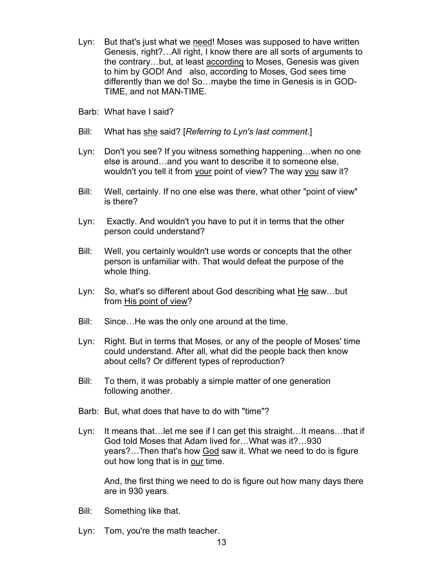- Lyn: But that's just what we need! Moses was supposed to have written Genesis, right?…All right, I know there are all sorts of arguments to the contrary…but, at least according to Moses, Genesis was given to him by GOD! And also, according to Moses, God sees time differently than we do! So…maybe the time in Genesis is in GOD-TIME, and not MAN-TIME.
- Barb: What have I said?
- Bill: What has she said? [*Referring to Lyn's last comment.*]
- Lyn: Don't you see? If you witness something happening…when no one else is around…and you want to describe it to someone else, wouldn't you tell it from your point of view? The way you saw it?
- Bill: Well, certainly. If no one else was there, what other "point of view" is there?
- Lyn: Exactly. And wouldn't you have to put it in terms that the other person could understand?
- Bill: Well, you certainly wouldn't use words or concepts that the other person is unfamiliar with. That would defeat the purpose of the whole thing.
- Lyn: So, what's so different about God describing what He saw…but from His point of view?
- Bill: Since…He was the only one around at the time.
- Lyn: Right. But in terms that Moses, or any of the people of Moses' time could understand. After all, what did the people back then know about cells? Or different types of reproduction?
- Bill: To them, it was probably a simple matter of one generation following another.
- Barb: But, what does that have to do with "time"?
- Lyn: It means that…let me see if I can get this straight…It means…that if God told Moses that Adam lived for…What was it?…930 years?…Then that's how God saw it. What we need to do is figure out how long that is in our time.

And, the first thing we need to do is figure out how many days there are in 930 years.

- Bill: Something like that.
- Lyn: Tom, you're the math teacher.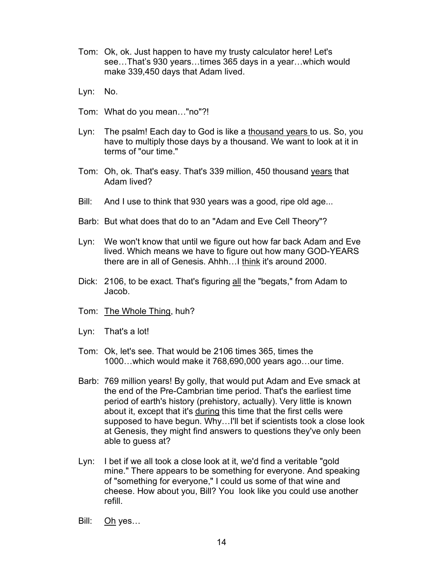- Tom: Ok, ok. Just happen to have my trusty calculator here! Let's see…That's 930 years…times 365 days in a year…which would make 339,450 days that Adam lived.
- Lyn: No.
- Tom: What do you mean…"no"?!
- Lyn: The psalm! Each day to God is like a thousand years to us. So, you have to multiply those days by a thousand. We want to look at it in terms of "our time."
- Tom: Oh, ok. That's easy. That's 339 million, 450 thousand years that Adam lived?
- Bill: And I use to think that 930 years was a good, ripe old age...
- Barb: But what does that do to an "Adam and Eve Cell Theory"?
- Lyn: We won't know that until we figure out how far back Adam and Eve lived. Which means we have to figure out how many GOD-YEARS there are in all of Genesis. Ahhh…I think it's around 2000.
- Dick: 2106, to be exact. That's figuring all the "begats," from Adam to Jacob.
- Tom: The Whole Thing, huh?
- Lyn: That's a lot!
- Tom: Ok, let's see. That would be 2106 times 365, times the 1000…which would make it 768,690,000 years ago…our time.
- Barb: 769 million years! By golly, that would put Adam and Eve smack at the end of the Pre-Cambrian time period. That's the earliest time period of earth's history (prehistory, actually). Very little is known about it, except that it's during this time that the first cells were supposed to have begun. Why…I'll bet if scientists took a close look at Genesis, they might find answers to questions they've only been able to guess at?
- Lyn: I bet if we all took a close look at it, we'd find a veritable "gold mine." There appears to be something for everyone. And speaking of "something for everyone," I could us some of that wine and cheese. How about you, Bill? You look like you could use another refill.
- Bill: Oh yes...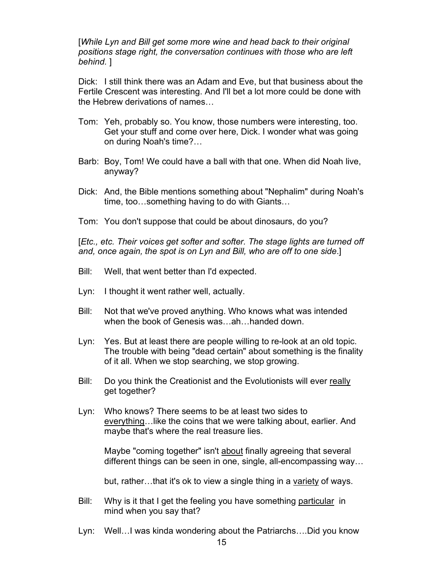[*While Lyn and Bill get some more wine and head back to their original positions stage right, the conversation continues with those who are left behind.* ]

Dick: I still think there was an Adam and Eve, but that business about the Fertile Crescent was interesting. And I'll bet a lot more could be done with the Hebrew derivations of names…

- Tom: Yeh, probably so. You know, those numbers were interesting, too. Get your stuff and come over here, Dick. I wonder what was going on during Noah's time?…
- Barb: Boy, Tom! We could have a ball with that one. When did Noah live, anyway?
- Dick: And, the Bible mentions something about "Nephalim" during Noah's time, too…something having to do with Giants…
- Tom: You don't suppose that could be about dinosaurs, do you?

[*Etc., etc. Their voices get softer and softer. The stage lights are turned off and, once again, the spot is on Lyn and Bill, who are off to one side*.]

- Bill: Well, that went better than I'd expected.
- Lyn: I thought it went rather well, actually.
- Bill: Not that we've proved anything. Who knows what was intended when the book of Genesis was…ah…handed down.
- Lyn: Yes. But at least there are people willing to re-look at an old topic. The trouble with being "dead certain" about something is the finality of it all. When we stop searching, we stop growing.
- Bill: Do you think the Creationist and the Evolutionists will ever really get together?
- Lyn: Who knows? There seems to be at least two sides to everything…like the coins that we were talking about, earlier. And maybe that's where the real treasure lies.

Maybe "coming together" isn't about finally agreeing that several different things can be seen in one, single, all-encompassing way…

but, rather...that it's ok to view a single thing in a variety of ways.

- Bill: Why is it that I get the feeling you have something particular in mind when you say that?
- Lyn: Well…I was kinda wondering about the Patriarchs….Did you know